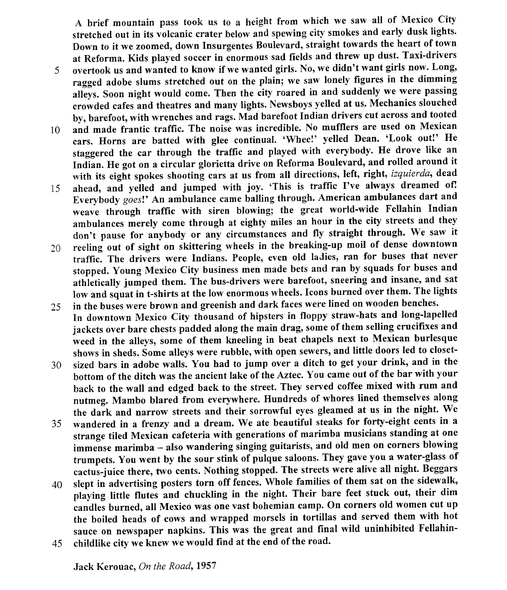A brief mountain pass took us to a height from which we saw all of Mexico City stretched out in its volcanic crater below and spewing city smokes and early dusk lights' Down to it we zoomed, down Insurgentes Boulevard, straight towards the heart of town at Reforma. Kids played soccer in enormous sad fields and threw up dust. Taxi-drivers

- overtook us and wanted to know if we wanted girls. No, we didn't want girls now. Long, 5 ragged adobe slums stretched out on the plain; we saw lonely figures in the dimming alleys. Soon night would come. Then the city roared in and suddenly we were passing crowded cafes and theatres and many tights. Newsboys yelled at us. Mechanics slouched by, barefoot, with wrenches and rags. Mad barefoot Indian drivers cut across and tooted
- 10 and made frantic traffic. The noise was incredible. No mufflers are used on Mexican cars. Horns are batted with glee continual. 'Whee!' yelled Dean. 'Look out!' He staggered the car through the traffic and played with everybody. He drove like an Indùn. He got on a circuiar glorietta drive on Reforma Boulevard, and rolled around it with its eight spokes shooting cars at us from all directions, left, right, izquierda, dead
- 15 ahead, and yelled and jumped with joy. 'This is traffic I've always dreamed of! Everybody goes!' An ambulance came balling through. American ambulances dart and weave through traffic with siren blowing; the great world-wide Fellahin Indian ambulances merely come through at eighty miles an hour in the city streets and they don't pause for anybody or any circumstances and fly straight through- We saw it
- 20 reeling out of sight on skittering wheels in the breaking-up moil of dense downtown traffic. The drivers were Indians. People, even old ladies, ran for buses that never stopped. Young Mexico City business men made bets and ran by squads for buses and athletically jumped them. The bus-drivers were barefoot, sneering and insane, and sat low and squat in t-shirts at the low enormous wheels. Icons burned over them. The lights in the buses were brown and greenish and dark faces were lined on wooden benches.
- 25 In downtown Mexico City thousand of hipsters in floppy straw-hats and long-lapelled jackets over bare chests padded along the main drag, some of them selling crucifixes and weed in the alleys, some of them kaeeling in beat chapels next to Mexican burlesque shows in sheds. Some alleys were rubble, with open sewers, and little doors led to closet-
- sized bars in adobe walls. You had to jump over a ditch to get your drink, and in the 30 bottom of the ditch was the ancient lake of the Lztec. You came out of the bar with your back to the wall and edged back to the street. They served coffee mixed with rum and nutmeg. Mambo blared from everywhere. Hundreds of whores lined themselves along the dark and narrow streets and their sorrowful eyes gleamed at us in the night. We
- wandered in a frenzy and a dream. We ate beautiful steaks for forty-eight cents in a strange tiled Mexican cafeteria with generations of marimba musicians standing at one immense marimba - also wandering singing guitarists, and old men on corners blowing trumpets. You went by the sour stink of pulque saloons. They gave you a water-glass of cactus-juice there, two cents. Nothing stopped. The streets were alive all night. Beggars JJ
- slept in advertising posters torn off fences. Whole families of them sat on the sidewalk' 40 playing little flutes and chuckling in the night. Their bare feet stuck out, their dim èandles burned, all Mexico was one vast bohemian camp. On corners old women cut up the boiled heads of cows and wrapped morsels in tortillas and served them with hot sauce on newspaper napkins. This was the great and final wild uninhibited Fellahin-
- childlike city we knew we would find at the end of the road. 45